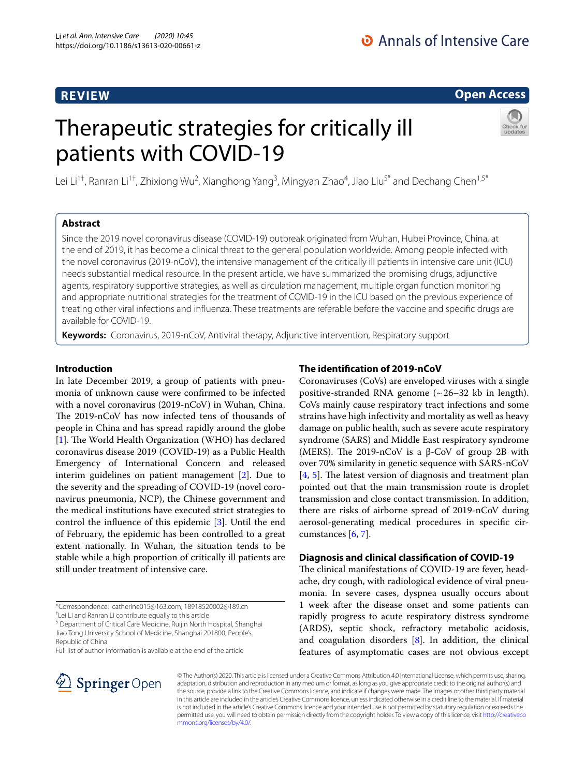# **Open Access**

# Therapeutic strategies for critically ill patients with COVID-19



Lei Li<sup>1†</sup>, Ranran Li<sup>1†</sup>, Zhixiong Wu<sup>2</sup>, Xianghong Yang<sup>3</sup>, Mingyan Zhao<sup>4</sup>, Jiao Liu<sup>5\*</sup> and Dechang Chen<sup>1,5\*</sup>

# **Abstract**

Since the 2019 novel coronavirus disease (COVID-19) outbreak originated from Wuhan, Hubei Province, China, at the end of 2019, it has become a clinical threat to the general population worldwide. Among people infected with the novel coronavirus (2019-nCoV), the intensive management of the critically ill patients in intensive care unit (ICU) needs substantial medical resource. In the present article, we have summarized the promising drugs, adjunctive agents, respiratory supportive strategies, as well as circulation management, multiple organ function monitoring and appropriate nutritional strategies for the treatment of COVID-19 in the ICU based on the previous experience of treating other viral infections and infuenza. These treatments are referable before the vaccine and specifc drugs are available for COVID-19.

**Keywords:** Coronavirus, 2019-nCoV, Antiviral therapy, Adjunctive intervention, Respiratory support

# **Introduction**

In late December 2019, a group of patients with pneumonia of unknown cause were confrmed to be infected with a novel coronavirus (2019-nCoV) in Wuhan, China. The 2019-nCoV has now infected tens of thousands of people in China and has spread rapidly around the globe [[1\]](#page-6-0). The World Health Organization (WHO) has declared coronavirus disease 2019 (COVID-19) as a Public Health Emergency of International Concern and released interim guidelines on patient management [[2\]](#page-6-1). Due to the severity and the spreading of COVID-19 (novel coronavirus pneumonia, NCP), the Chinese government and the medical institutions have executed strict strategies to control the infuence of this epidemic [[3\]](#page-6-2). Until the end of February, the epidemic has been controlled to a great extent nationally. In Wuhan, the situation tends to be stable while a high proportion of critically ill patients are still under treatment of intensive care.

† Lei Li and Ranran Li contribute equally to this article

<sup>5</sup> Department of Critical Care Medicine, Ruijin North Hospital, Shanghai Jiao Tong University School of Medicine, Shanghai 201800, People's Republic of China

Full list of author information is available at the end of the article

# **The identifcation of 2019‑nCoV**

Coronaviruses (CoVs) are enveloped viruses with a single positive-stranded RNA genome  $({\sim}26-32$  kb in length). CoVs mainly cause respiratory tract infections and some strains have high infectivity and mortality as well as heavy damage on public health, such as severe acute respiratory syndrome (SARS) and Middle East respiratory syndrome (MERS). The 2019-nCoV is a  $β$ -CoV of group 2B with over 70% similarity in genetic sequence with SARS-nCoV  $[4, 5]$  $[4, 5]$  $[4, 5]$  $[4, 5]$ . The latest version of diagnosis and treatment plan pointed out that the main transmission route is droplet transmission and close contact transmission. In addition, there are risks of airborne spread of 2019-nCoV during aerosol-generating medical procedures in specifc circumstances [[6,](#page-6-5) [7](#page-6-6)].

## **Diagnosis and clinical classifcation of COVID‑19**

The clinical manifestations of COVID-19 are fever, headache, dry cough, with radiological evidence of viral pneumonia. In severe cases, dyspnea usually occurs about 1 week after the disease onset and some patients can rapidly progress to acute respiratory distress syndrome (ARDS), septic shock, refractory metabolic acidosis, and coagulation disorders  $[8]$  $[8]$ . In addition, the clinical features of asymptomatic cases are not obvious except



© The Author(s) 2020. This article is licensed under a Creative Commons Attribution 4.0 International License, which permits use, sharing, adaptation, distribution and reproduction in any medium or format, as long as you give appropriate credit to the original author(s) and the source, provide a link to the Creative Commons licence, and indicate if changes were made. The images or other third party material in this article are included in the article's Creative Commons licence, unless indicated otherwise in a credit line to the material. If material is not included in the article's Creative Commons licence and your intended use is not permitted by statutory regulation or exceeds the permitted use, you will need to obtain permission directly from the copyright holder. To view a copy of this licence, visit [http://creativeco](http://creativecommons.org/licenses/by/4.0/) [mmons.org/licenses/by/4.0/.](http://creativecommons.org/licenses/by/4.0/)

<sup>\*</sup>Correspondence: catherine015@163.com; 18918520002@189.cn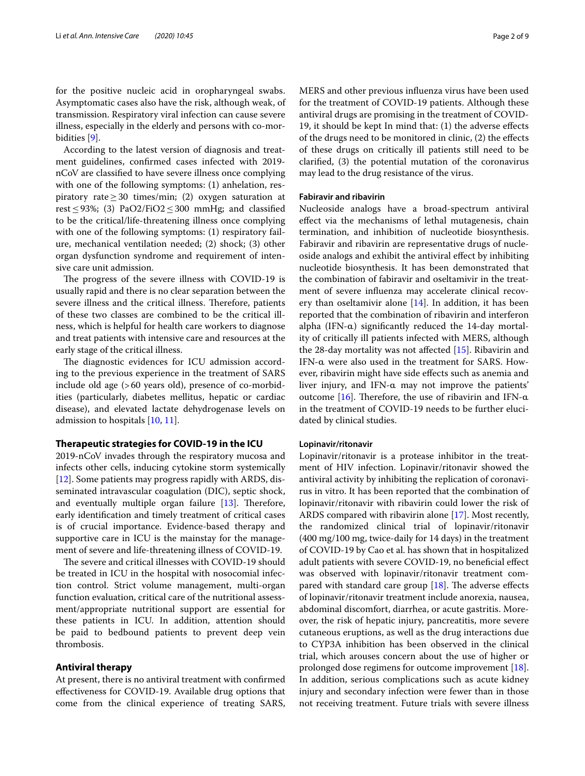for the positive nucleic acid in oropharyngeal swabs. Asymptomatic cases also have the risk, although weak, of transmission. Respiratory viral infection can cause severe illness, especially in the elderly and persons with co-morbidities [\[9](#page-7-0)].

According to the latest version of diagnosis and treatment guidelines, confrmed cases infected with 2019 nCoV are classifed to have severe illness once complying with one of the following symptoms: (1) anhelation, respiratory rate≥30 times/min; (2) oxygen saturation at rest≤93%; (3) PaO2/FiO2≤300 mmHg; and classifed to be the critical/life-threatening illness once complying with one of the following symptoms: (1) respiratory failure, mechanical ventilation needed; (2) shock; (3) other organ dysfunction syndrome and requirement of intensive care unit admission.

The progress of the severe illness with COVID-19 is usually rapid and there is no clear separation between the severe illness and the critical illness. Therefore, patients of these two classes are combined to be the critical illness, which is helpful for health care workers to diagnose and treat patients with intensive care and resources at the early stage of the critical illness.

The diagnostic evidences for ICU admission according to the previous experience in the treatment of SARS include old age (>60 years old), presence of co-morbidities (particularly, diabetes mellitus, hepatic or cardiac disease), and elevated lactate dehydrogenase levels on admission to hospitals [\[10,](#page-7-1) [11](#page-7-2)].

## **Therapeutic strategies for COVID‑19 in the ICU**

2019-nCoV invades through the respiratory mucosa and infects other cells, inducing cytokine storm systemically [[12\]](#page-7-3). Some patients may progress rapidly with ARDS, disseminated intravascular coagulation (DIC), septic shock, and eventually multiple organ failure  $[13]$  $[13]$ . Therefore, early identifcation and timely treatment of critical cases is of crucial importance. Evidence-based therapy and supportive care in ICU is the mainstay for the management of severe and life-threatening illness of COVID-19.

The severe and critical illnesses with COVID-19 should be treated in ICU in the hospital with nosocomial infection control. Strict volume management, multi-organ function evaluation, critical care of the nutritional assessment/appropriate nutritional support are essential for these patients in ICU. In addition, attention should be paid to bedbound patients to prevent deep vein thrombosis.

## **Antiviral therapy**

At present, there is no antiviral treatment with confrmed efectiveness for COVID-19. Available drug options that come from the clinical experience of treating SARS, MERS and other previous infuenza virus have been used for the treatment of COVID-19 patients. Although these antiviral drugs are promising in the treatment of COVID-19, it should be kept In mind that: (1) the adverse efects of the drugs need to be monitored in clinic, (2) the efects of these drugs on critically ill patients still need to be clarifed, (3) the potential mutation of the coronavirus may lead to the drug resistance of the virus.

## **Fabiravir and ribavirin**

Nucleoside analogs have a broad-spectrum antiviral efect via the mechanisms of lethal mutagenesis, chain termination, and inhibition of nucleotide biosynthesis. Fabiravir and ribavirin are representative drugs of nucleoside analogs and exhibit the antiviral efect by inhibiting nucleotide biosynthesis. It has been demonstrated that the combination of fabiravir and oseltamivir in the treatment of severe infuenza may accelerate clinical recovery than oseltamivir alone  $[14]$  $[14]$ . In addition, it has been reported that the combination of ribavirin and interferon alpha (IFN-a) significantly reduced the 14-day mortality of critically ill patients infected with MERS, although the 28-day mortality was not afected [[15\]](#page-7-6). Ribavirin and IFN- $\alpha$  were also used in the treatment for SARS. However, ribavirin might have side efects such as anemia and liver injury, and IFN-a may not improve the patients' outcome  $[16]$ . Therefore, the use of ribavirin and IFN- $\alpha$ in the treatment of COVID-19 needs to be further elucidated by clinical studies.

#### **Lopinavir/ritonavir**

Lopinavir/ritonavir is a protease inhibitor in the treatment of HIV infection. Lopinavir/ritonavir showed the antiviral activity by inhibiting the replication of coronavirus in vitro. It has been reported that the combination of lopinavir/ritonavir with ribavirin could lower the risk of ARDS compared with ribavirin alone [\[17](#page-7-8)]. Most recently, the randomized clinical trial of lopinavir/ritonavir (400 mg/100 mg, twice-daily for 14 days) in the treatment of COVID-19 by Cao et al. has shown that in hospitalized adult patients with severe COVID-19, no benefcial efect was observed with lopinavir/ritonavir treatment compared with standard care group  $[18]$  $[18]$ . The adverse effects of lopinavir/ritonavir treatment include anorexia, nausea, abdominal discomfort, diarrhea, or acute gastritis. Moreover, the risk of hepatic injury, pancreatitis, more severe cutaneous eruptions, as well as the drug interactions due to CYP3A inhibition has been observed in the clinical trial, which arouses concern about the use of higher or prolonged dose regimens for outcome improvement [\[18](#page-7-9)]. In addition, serious complications such as acute kidney injury and secondary infection were fewer than in those not receiving treatment. Future trials with severe illness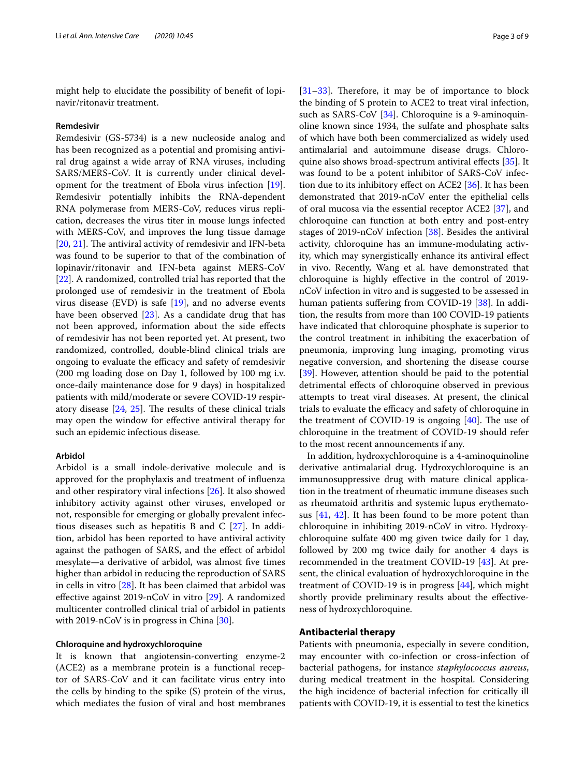might help to elucidate the possibility of beneft of lopinavir/ritonavir treatment.

#### **Remdesivir**

Remdesivir (GS-5734) is a new nucleoside analog and has been recognized as a potential and promising antiviral drug against a wide array of RNA viruses, including SARS/MERS-CoV. It is currently under clinical development for the treatment of Ebola virus infection [\[19](#page-7-10)]. Remdesivir potentially inhibits the RNA-dependent RNA polymerase from MERS-CoV, reduces virus replication, decreases the virus titer in mouse lungs infected with MERS-CoV, and improves the lung tissue damage [[20,](#page-7-11) [21](#page-7-12)]. The antiviral activity of remdesivir and IFN-beta was found to be superior to that of the combination of lopinavir/ritonavir and IFN-beta against MERS-CoV [[22\]](#page-7-13). A randomized, controlled trial has reported that the prolonged use of remdesivir in the treatment of Ebola virus disease (EVD) is safe  $[19]$  $[19]$ , and no adverse events have been observed [\[23](#page-7-14)]. As a candidate drug that has not been approved, information about the side efects of remdesivir has not been reported yet. At present, two randomized, controlled, double-blind clinical trials are ongoing to evaluate the efficacy and safety of remdesivir (200 mg loading dose on Day 1, followed by 100 mg i.v. once-daily maintenance dose for 9 days) in hospitalized patients with mild/moderate or severe COVID-19 respiratory disease  $[24, 25]$  $[24, 25]$  $[24, 25]$ . The results of these clinical trials may open the window for efective antiviral therapy for such an epidemic infectious disease.

## **Arbidol**

Arbidol is a small indole-derivative molecule and is approved for the prophylaxis and treatment of infuenza and other respiratory viral infections [[26\]](#page-7-17). It also showed inhibitory activity against other viruses, enveloped or not, responsible for emerging or globally prevalent infectious diseases such as hepatitis B and C [[27\]](#page-7-18). In addition, arbidol has been reported to have antiviral activity against the pathogen of SARS, and the efect of arbidol mesylate—a derivative of arbidol, was almost fve times higher than arbidol in reducing the reproduction of SARS in cells in vitro [[28\]](#page-7-19). It has been claimed that arbidol was efective against 2019-nCoV in vitro [[29\]](#page-7-20). A randomized multicenter controlled clinical trial of arbidol in patients with 2019-nCoV is in progress in China [\[30\]](#page-7-21).

#### **Chloroquine and hydroxychloroquine**

It is known that angiotensin-converting enzyme-2 (ACE2) as a membrane protein is a functional receptor of SARS-CoV and it can facilitate virus entry into the cells by binding to the spike (S) protein of the virus, which mediates the fusion of viral and host membranes  $[31-33]$  $[31-33]$ . Therefore, it may be of importance to block the binding of S protein to ACE2 to treat viral infection, such as SARS-CoV [\[34](#page-7-24)]. Chloroquine is a 9-aminoquinoline known since 1934, the sulfate and phosphate salts of which have both been commercialized as widely used antimalarial and autoimmune disease drugs. Chloro-quine also shows broad-spectrum antiviral effects [\[35](#page-7-25)]. It was found to be a potent inhibitor of SARS-CoV infection due to its inhibitory efect on ACE2 [[36\]](#page-7-26). It has been demonstrated that 2019-nCoV enter the epithelial cells of oral mucosa via the essential receptor ACE2 [\[37\]](#page-7-27), and chloroquine can function at both entry and post-entry stages of 2019-nCoV infection [\[38](#page-7-28)]. Besides the antiviral activity, chloroquine has an immune-modulating activity, which may synergistically enhance its antiviral efect in vivo. Recently, Wang et al. have demonstrated that chloroquine is highly efective in the control of 2019 nCoV infection in vitro and is suggested to be assessed in human patients suffering from COVID-19 [[38\]](#page-7-28). In addition, the results from more than 100 COVID-19 patients have indicated that chloroquine phosphate is superior to the control treatment in inhibiting the exacerbation of pneumonia, improving lung imaging, promoting virus negative conversion, and shortening the disease course [[39\]](#page-7-29). However, attention should be paid to the potential detrimental efects of chloroquine observed in previous attempts to treat viral diseases. At present, the clinical trials to evaluate the efficacy and safety of chloroquine in the treatment of COVID-19 is ongoing  $[40]$  $[40]$  $[40]$ . The use of chloroquine in the treatment of COVID-19 should refer to the most recent announcements if any.

In addition, hydroxychloroquine is a 4-aminoquinoline derivative antimalarial drug. Hydroxychloroquine is an immunosuppressive drug with mature clinical application in the treatment of rheumatic immune diseases such as rheumatoid arthritis and systemic lupus erythematosus [[41,](#page-7-31) [42](#page-7-32)]. It has been found to be more potent than chloroquine in inhibiting 2019-nCoV in vitro. Hydroxychloroquine sulfate 400 mg given twice daily for 1 day, followed by 200 mg twice daily for another 4 days is recommended in the treatment COVID-19 [\[43\]](#page-7-33). At present, the clinical evaluation of hydroxychloroquine in the treatment of COVID-19 is in progress [[44](#page-7-34)], which might shortly provide preliminary results about the efectiveness of hydroxychloroquine.

## **Antibacterial therapy**

Patients with pneumonia, especially in severe condition, may encounter with co-infection or cross-infection of bacterial pathogens, for instance *staphylococcus aureus*, during medical treatment in the hospital. Considering the high incidence of bacterial infection for critically ill patients with COVID-19, it is essential to test the kinetics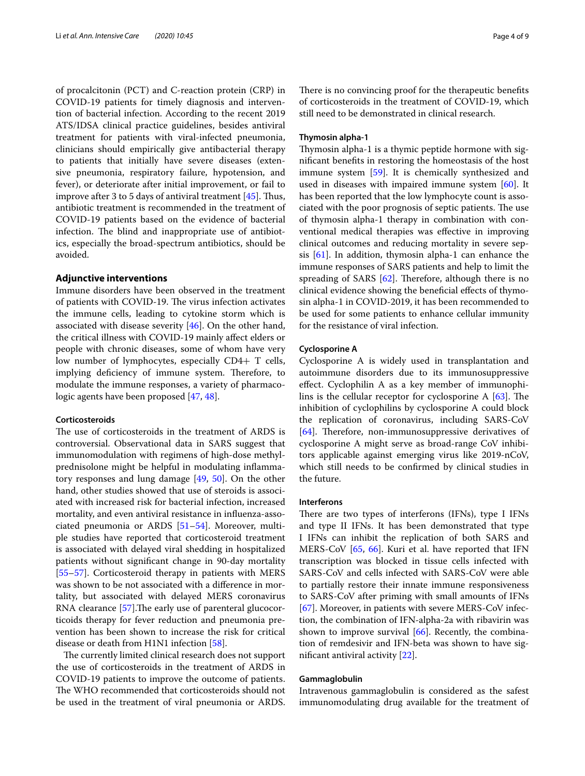of procalcitonin (PCT) and C-reaction protein (CRP) in COVID-19 patients for timely diagnosis and intervention of bacterial infection. According to the recent 2019 ATS/IDSA clinical practice guidelines, besides antiviral treatment for patients with viral-infected pneumonia, clinicians should empirically give antibacterial therapy to patients that initially have severe diseases (extensive pneumonia, respiratory failure, hypotension, and fever), or deteriorate after initial improvement, or fail to improve after 3 to 5 days of antiviral treatment  $[45]$  $[45]$  $[45]$ . Thus, antibiotic treatment is recommended in the treatment of COVID-19 patients based on the evidence of bacterial infection. The blind and inappropriate use of antibiotics, especially the broad-spectrum antibiotics, should be avoided.

## **Adjunctive interventions**

Immune disorders have been observed in the treatment of patients with COVID-19. The virus infection activates the immune cells, leading to cytokine storm which is associated with disease severity [[46\]](#page-7-36). On the other hand, the critical illness with COVID-19 mainly afect elders or people with chronic diseases, some of whom have very low number of lymphocytes, especially CD4+ T cells, implying deficiency of immune system. Therefore, to modulate the immune responses, a variety of pharmacologic agents have been proposed [\[47,](#page-7-37) [48](#page-7-38)].

## **Corticosteroids**

The use of corticosteroids in the treatment of ARDS is controversial. Observational data in SARS suggest that immunomodulation with regimens of high-dose methylprednisolone might be helpful in modulating infammatory responses and lung damage [\[49](#page-7-39), [50\]](#page-7-40). On the other hand, other studies showed that use of steroids is associated with increased risk for bacterial infection, increased mortality, and even antiviral resistance in infuenza-associated pneumonia or ARDS [\[51](#page-7-41)–[54\]](#page-7-42). Moreover, multiple studies have reported that corticosteroid treatment is associated with delayed viral shedding in hospitalized patients without signifcant change in 90-day mortality [[55–](#page-7-43)[57](#page-8-0)]. Corticosteroid therapy in patients with MERS was shown to be not associated with a diference in mortality, but associated with delayed MERS coronavirus RNA clearance [[57](#page-8-0)]. The early use of parenteral glucocorticoids therapy for fever reduction and pneumonia prevention has been shown to increase the risk for critical disease or death from H1N1 infection [\[58](#page-8-1)].

The currently limited clinical research does not support the use of corticosteroids in the treatment of ARDS in COVID-19 patients to improve the outcome of patients. The WHO recommended that corticosteroids should not be used in the treatment of viral pneumonia or ARDS. There is no convincing proof for the therapeutic benefits of corticosteroids in the treatment of COVID-19, which still need to be demonstrated in clinical research.

## **Thymosin alpha‑1**

Thymosin alpha-1 is a thymic peptide hormone with signifcant benefts in restoring the homeostasis of the host immune system [[59\]](#page-8-2). It is chemically synthesized and used in diseases with impaired immune system [\[60\]](#page-8-3). It has been reported that the low lymphocyte count is associated with the poor prognosis of septic patients. The use of thymosin alpha-1 therapy in combination with conventional medical therapies was efective in improving clinical outcomes and reducing mortality in severe sepsis [[61\]](#page-8-4). In addition, thymosin alpha-1 can enhance the immune responses of SARS patients and help to limit the spreading of SARS  $[62]$  $[62]$  $[62]$ . Therefore, although there is no clinical evidence showing the benefcial efects of thymosin alpha-1 in COVID-2019, it has been recommended to be used for some patients to enhance cellular immunity for the resistance of viral infection.

#### **Cyclosporine A**

Cyclosporine A is widely used in transplantation and autoimmune disorders due to its immunosuppressive efect. Cyclophilin A as a key member of immunophilins is the cellular receptor for cyclosporine A  $[63]$  $[63]$  $[63]$ . The inhibition of cyclophilins by cyclosporine A could block the replication of coronavirus, including SARS-CoV [[64\]](#page-8-7). Therefore, non-immunosuppressive derivatives of cyclosporine A might serve as broad-range CoV inhibitors applicable against emerging virus like 2019-nCoV, which still needs to be confrmed by clinical studies in the future.

#### **Interferons**

There are two types of interferons (IFNs), type I IFNs and type II IFNs. It has been demonstrated that type I IFNs can inhibit the replication of both SARS and MERS-CoV [[65](#page-8-8), [66](#page-8-9)]. Kuri et al. have reported that IFN transcription was blocked in tissue cells infected with SARS-CoV and cells infected with SARS-CoV were able to partially restore their innate immune responsiveness to SARS-CoV after priming with small amounts of IFNs [[67\]](#page-8-10). Moreover, in patients with severe MERS-CoV infection, the combination of IFN-alpha-2a with ribavirin was shown to improve survival  $[66]$  $[66]$  $[66]$ . Recently, the combination of remdesivir and IFN-beta was shown to have signifcant antiviral activity [[22](#page-7-13)].

## **Gammaglobulin**

Intravenous gammaglobulin is considered as the safest immunomodulating drug available for the treatment of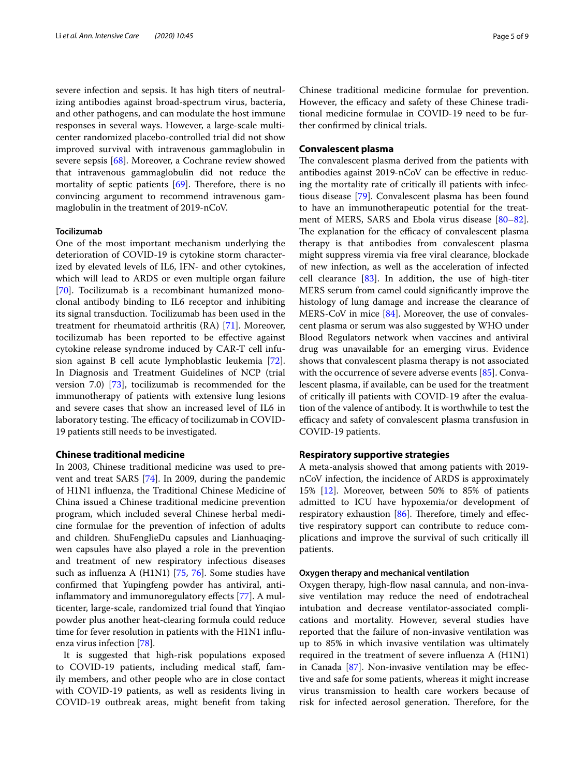severe infection and sepsis. It has high titers of neutralizing antibodies against broad-spectrum virus, bacteria, and other pathogens, and can modulate the host immune responses in several ways. However, a large-scale multicenter randomized placebo-controlled trial did not show improved survival with intravenous gammaglobulin in severe sepsis [[68](#page-8-11)]. Moreover, a Cochrane review showed that intravenous gammaglobulin did not reduce the mortality of septic patients  $[69]$  $[69]$ . Therefore, there is no convincing argument to recommend intravenous gammaglobulin in the treatment of 2019-nCoV.

#### **Tocilizumab**

One of the most important mechanism underlying the deterioration of COVID-19 is cytokine storm characterized by elevated levels of IL6, IFN- and other cytokines, which will lead to ARDS or even multiple organ failure [[70\]](#page-8-13). Tocilizumab is a recombinant humanized monoclonal antibody binding to IL6 receptor and inhibiting its signal transduction. Tocilizumab has been used in the treatment for rheumatoid arthritis (RA) [[71\]](#page-8-14). Moreover, tocilizumab has been reported to be efective against cytokine release syndrome induced by CAR-T cell infusion against B cell acute lymphoblastic leukemia [\[72](#page-8-15)]. In Diagnosis and Treatment Guidelines of NCP (trial version 7.0) [[73\]](#page-8-16), tocilizumab is recommended for the immunotherapy of patients with extensive lung lesions and severe cases that show an increased level of IL6 in laboratory testing. The efficacy of tocilizumab in COVID-19 patients still needs to be investigated.

## **Chinese traditional medicine**

In 2003, Chinese traditional medicine was used to prevent and treat SARS [[74\]](#page-8-17). In 2009, during the pandemic of H1N1 infuenza, the Traditional Chinese Medicine of China issued a Chinese traditional medicine prevention program, which included several Chinese herbal medicine formulae for the prevention of infection of adults and children. ShuFengJieDu capsules and Lianhuaqingwen capsules have also played a role in the prevention and treatment of new respiratory infectious diseases such as infuenza A (H1N1) [[75,](#page-8-18) [76\]](#page-8-19). Some studies have confrmed that Yupingfeng powder has antiviral, antiinfammatory and immunoregulatory efects [[77\]](#page-8-20). A multicenter, large-scale, randomized trial found that Yinqiao powder plus another heat-clearing formula could reduce time for fever resolution in patients with the H1N1 infuenza virus infection [[78](#page-8-21)].

It is suggested that high-risk populations exposed to COVID-19 patients, including medical staf, family members, and other people who are in close contact with COVID-19 patients, as well as residents living in COVID-19 outbreak areas, might beneft from taking

Chinese traditional medicine formulae for prevention. However, the efficacy and safety of these Chinese traditional medicine formulae in COVID-19 need to be further confrmed by clinical trials.

## **Convalescent plasma**

The convalescent plasma derived from the patients with antibodies against 2019-nCoV can be efective in reducing the mortality rate of critically ill patients with infectious disease [\[79](#page-8-22)]. Convalescent plasma has been found to have an immunotherapeutic potential for the treatment of MERS, SARS and Ebola virus disease [[80](#page-8-23)[–82](#page-8-24)]. The explanation for the efficacy of convalescent plasma therapy is that antibodies from convalescent plasma might suppress viremia via free viral clearance, blockade of new infection, as well as the acceleration of infected cell clearance [\[83](#page-8-25)]. In addition, the use of high-titer MERS serum from camel could signifcantly improve the histology of lung damage and increase the clearance of MERS-CoV in mice [[84\]](#page-8-26). Moreover, the use of convalescent plasma or serum was also suggested by WHO under Blood Regulators network when vaccines and antiviral drug was unavailable for an emerging virus. Evidence shows that convalescent plasma therapy is not associated with the occurrence of severe adverse events [\[85\]](#page-8-27). Convalescent plasma, if available, can be used for the treatment of critically ill patients with COVID-19 after the evaluation of the valence of antibody. It is worthwhile to test the efficacy and safety of convalescent plasma transfusion in COVID-19 patients.

## **Respiratory supportive strategies**

A meta-analysis showed that among patients with 2019 nCoV infection, the incidence of ARDS is approximately 15% [[12](#page-7-3)]. Moreover, between 50% to 85% of patients admitted to ICU have hypoxemia/or development of respiratory exhaustion  $[86]$  $[86]$ . Therefore, timely and effective respiratory support can contribute to reduce complications and improve the survival of such critically ill patients.

#### **Oxygen therapy and mechanical ventilation**

Oxygen therapy, high-fow nasal cannula, and non-invasive ventilation may reduce the need of endotracheal intubation and decrease ventilator-associated complications and mortality. However, several studies have reported that the failure of non-invasive ventilation was up to 85% in which invasive ventilation was ultimately required in the treatment of severe infuenza A (H1N1) in Canada [\[87](#page-8-29)]. Non-invasive ventilation may be efective and safe for some patients, whereas it might increase virus transmission to health care workers because of risk for infected aerosol generation. Therefore, for the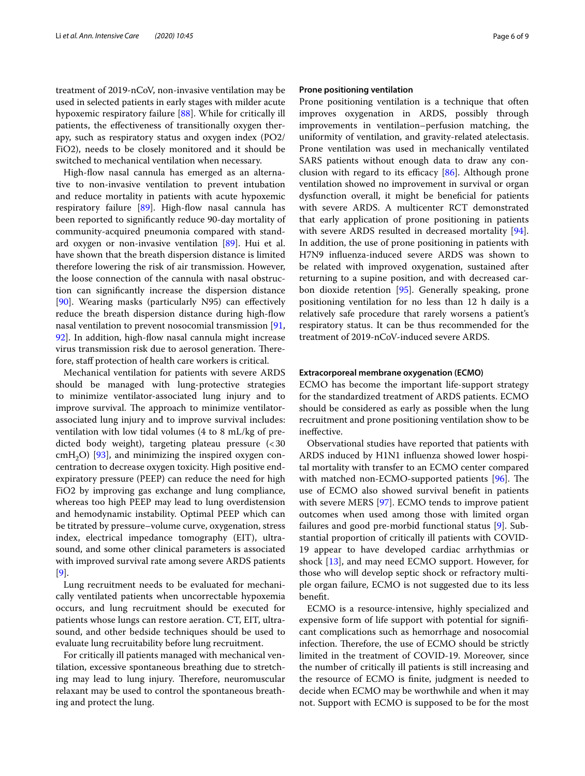treatment of 2019-nCoV, non-invasive ventilation may be used in selected patients in early stages with milder acute hypoxemic respiratory failure [\[88\]](#page-8-30). While for critically ill patients, the efectiveness of transitionally oxygen therapy, such as respiratory status and oxygen index (PO2/ FiO2), needs to be closely monitored and it should be switched to mechanical ventilation when necessary.

High-fow nasal cannula has emerged as an alternative to non-invasive ventilation to prevent intubation and reduce mortality in patients with acute hypoxemic respiratory failure [[89\]](#page-8-31). High-flow nasal cannula has been reported to signifcantly reduce 90-day mortality of community-acquired pneumonia compared with standard oxygen or non-invasive ventilation [[89](#page-8-31)]. Hui et al. have shown that the breath dispersion distance is limited therefore lowering the risk of air transmission. However, the loose connection of the cannula with nasal obstruction can signifcantly increase the dispersion distance [[90\]](#page-8-32). Wearing masks (particularly N95) can efectively reduce the breath dispersion distance during high-fow nasal ventilation to prevent nosocomial transmission [\[91](#page-8-33), [92\]](#page-8-34). In addition, high-fow nasal cannula might increase virus transmission risk due to aerosol generation. Therefore, staff protection of health care workers is critical.

Mechanical ventilation for patients with severe ARDS should be managed with lung-protective strategies to minimize ventilator-associated lung injury and to improve survival. The approach to minimize ventilatorassociated lung injury and to improve survival includes: ventilation with low tidal volumes (4 to 8 mL/kg of predicted body weight), targeting plateau pressure (<30  $cmH<sub>2</sub>O$ ) [\[93\]](#page-8-35), and minimizing the inspired oxygen concentration to decrease oxygen toxicity. High positive endexpiratory pressure (PEEP) can reduce the need for high FiO2 by improving gas exchange and lung compliance, whereas too high PEEP may lead to lung overdistension and hemodynamic instability. Optimal PEEP which can be titrated by pressure–volume curve, oxygenation, stress index, electrical impedance tomography (EIT), ultrasound, and some other clinical parameters is associated with improved survival rate among severe ARDS patients [[9\]](#page-7-0).

Lung recruitment needs to be evaluated for mechanically ventilated patients when uncorrectable hypoxemia occurs, and lung recruitment should be executed for patients whose lungs can restore aeration. CT, EIT, ultrasound, and other bedside techniques should be used to evaluate lung recruitability before lung recruitment.

For critically ill patients managed with mechanical ventilation, excessive spontaneous breathing due to stretching may lead to lung injury. Therefore, neuromuscular relaxant may be used to control the spontaneous breathing and protect the lung.

#### **Prone positioning ventilation**

Prone positioning ventilation is a technique that often improves oxygenation in ARDS, possibly through improvements in ventilation–perfusion matching, the uniformity of ventilation, and gravity-related atelectasis. Prone ventilation was used in mechanically ventilated SARS patients without enough data to draw any conclusion with regard to its efficacy  $[86]$ . Although prone ventilation showed no improvement in survival or organ dysfunction overall, it might be beneficial for patients with severe ARDS. A multicenter RCT demonstrated that early application of prone positioning in patients with severe ARDS resulted in decreased mortality [\[94](#page-8-36)]. In addition, the use of prone positioning in patients with H7N9 infuenza-induced severe ARDS was shown to be related with improved oxygenation, sustained after returning to a supine position, and with decreased carbon dioxide retention [\[95](#page-8-37)]. Generally speaking, prone positioning ventilation for no less than 12 h daily is a relatively safe procedure that rarely worsens a patient's respiratory status. It can be thus recommended for the treatment of 2019-nCoV-induced severe ARDS.

## **Extracorporeal membrane oxygenation (ECMO)**

ECMO has become the important life-support strategy for the standardized treatment of ARDS patients. ECMO should be considered as early as possible when the lung recruitment and prone positioning ventilation show to be inefective.

Observational studies have reported that patients with ARDS induced by H1N1 infuenza showed lower hospital mortality with transfer to an ECMO center compared with matched non-ECMO-supported patients [\[96\]](#page-8-38). The use of ECMO also showed survival beneft in patients with severe MERS [[97](#page-8-39)]. ECMO tends to improve patient outcomes when used among those with limited organ failures and good pre-morbid functional status [[9\]](#page-7-0). Substantial proportion of critically ill patients with COVID-19 appear to have developed cardiac arrhythmias or shock [[13\]](#page-7-4), and may need ECMO support. However, for those who will develop septic shock or refractory multiple organ failure, ECMO is not suggested due to its less beneft.

ECMO is a resource-intensive, highly specialized and expensive form of life support with potential for signifcant complications such as hemorrhage and nosocomial infection. Therefore, the use of ECMO should be strictly limited in the treatment of COVID-19. Moreover, since the number of critically ill patients is still increasing and the resource of ECMO is fnite, judgment is needed to decide when ECMO may be worthwhile and when it may not. Support with ECMO is supposed to be for the most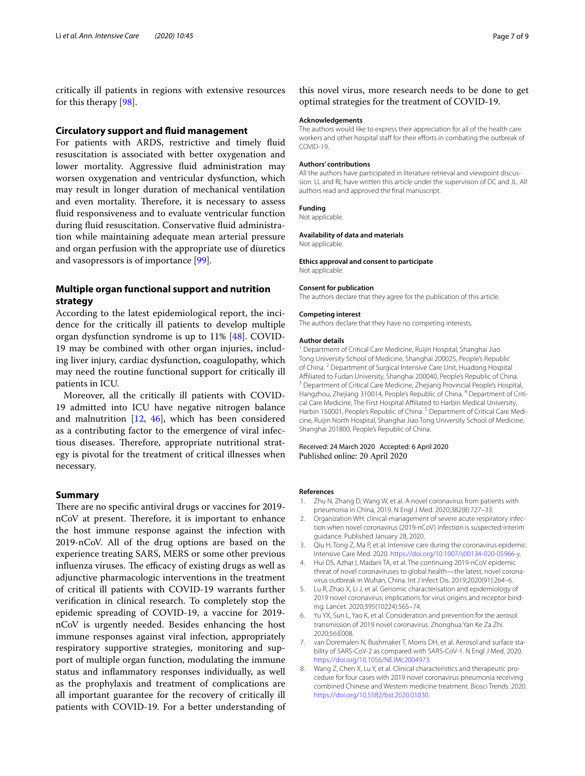critically ill patients in regions with extensive resources for this therapy [[98](#page-8-40)].

#### **Circulatory support and fuid management**

For patients with ARDS, restrictive and timely fuid resuscitation is associated with better oxygenation and lower mortality. Aggressive fluid administration may worsen oxygenation and ventricular dysfunction, which may result in longer duration of mechanical ventilation and even mortality. Therefore, it is necessary to assess fuid responsiveness and to evaluate ventricular function during fuid resuscitation. Conservative fuid administration while maintaining adequate mean arterial pressure and organ perfusion with the appropriate use of diuretics and vasopressors is of importance [\[99](#page-8-41)].

# **Multiple organ functional support and nutrition strategy**

According to the latest epidemiological report, the incidence for the critically ill patients to develop multiple organ dysfunction syndrome is up to 11% [[48](#page-7-38)]. COVID-19 may be combined with other organ injuries, including liver injury, cardiac dysfunction, coagulopathy, which may need the routine functional support for critically ill patients in ICU.

Moreover, all the critically ill patients with COVID-19 admitted into ICU have negative nitrogen balance and malnutrition  $[12, 46]$  $[12, 46]$  $[12, 46]$  $[12, 46]$  $[12, 46]$ , which has been considered as a contributing factor to the emergence of viral infectious diseases. Therefore, appropriate nutritional strategy is pivotal for the treatment of critical illnesses when necessary.

## **Summary**

There are no specific antiviral drugs or vaccines for 2019nCoV at present. Therefore, it is important to enhance the host immune response against the infection with 2019-nCoV. All of the drug options are based on the experience treating SARS, MERS or some other previous influenza viruses. The efficacy of existing drugs as well as adjunctive pharmacologic interventions in the treatment of critical ill patients with COVID-19 warrants further verifcation in clinical research. To completely stop the epidemic spreading of COVID-19, a vaccine for 2019 nCoV is urgently needed. Besides enhancing the host immune responses against viral infection, appropriately respiratory supportive strategies, monitoring and support of multiple organ function, modulating the immune status and infammatory responses individually, as well as the prophylaxis and treatment of complications are all important guarantee for the recovery of critically ill patients with COVID-19. For a better understanding of this novel virus, more research needs to be done to get optimal strategies for the treatment of COVID-19.

#### **Acknowledgements**

The authors would like to express their appreciation for all of the health care workers and other hospital staff for their efforts in combating the outbreak of COVID-19.

#### **Authors' contributions**

All the authors have participated in literature retrieval and viewpoint discussion. LL and RL have written this article under the supervision of DC and JL. All authors read and approved the fnal manuscript.

#### **Funding**

Not applicable.

#### **Availability of data and materials**

Not applicable.

**Ethics approval and consent to participate** Not applicable.

#### **Consent for publication**

The authors declare that they agree for the publication of this article.

#### **Competing interest**

The authors declare that they have no competing interests.

#### **Author details**

<sup>1</sup> Department of Critical Care Medicine, Ruijin Hospital, Shanghai Jiao Tong University School of Medicine, Shanghai 200025, People's Republic of China. <sup>2</sup> Department of Surgical Intensive Care Unit, Huadong Hospital Affiliated to Fudan University, Shanghai 200040, People's Republic of China.<br><sup>3</sup> Department of Critical Care Medicine, Zhejiang Provincial People's Hospital, Hangzhou, Zhejiang 310014, People's Republic of China. <sup>4</sup> Department of Critical Care Medicine, The First Hospital Affiliated to Harbin Medical University, Harbin 150001, People's Republic of China.<sup>5</sup> Department of Critical Care Medicine, Ruijin North Hospital, Shanghai Jiao Tong University School of Medicine, Shanghai 201800, People's Republic of China.

#### Received: 24 March 2020 Accepted: 6 April 2020 Published online: 20 April 2020

#### **References**

- <span id="page-6-0"></span>Zhu N, Zhang D, Wang W, et al. A novel coronavirus from patients with pneumonia in China, 2019. N Engl J Med. 2020;382(8):727–33.
- <span id="page-6-1"></span>2. Organization WH. clinical-management of severe acute respiratory infection when novel coronavirus (2019-nCoV) infection is suspected-interim guidance. Published January 28, 2020.
- <span id="page-6-2"></span>3. Qiu H, Tong Z, Ma P, et al. Intensive care during the coronavirus epidemic. Intensive Care Med. 2020.<https://doi.org/10.1007/s00134-020-05966-y>.
- <span id="page-6-3"></span>4. Hui DS, Azhar I, Madani TA, et al. The continuing 2019-nCoV epidemic threat of novel coronaviruses to global health—the latest, novel coronavirus outbreak in Wuhan, China. Int J Infect Dis. 2019;2020(91):264–6.
- <span id="page-6-4"></span>5. Lu R, Zhao X, Li J, et al. Genomic characterisation and epidemiology of 2019 novel coronavirus: implications for virus origins and receptor binding. Lancet. 2020;395(10224):565–74.
- <span id="page-6-5"></span>Yu YX, Sun L, Yao K, et al. Consideration and prevention for the aerosol transmission of 2019 novel coronavirus. Zhonghua Yan Ke Za Zhi. 2020;56:E008.
- <span id="page-6-6"></span>7. van Doremalen N, Bushmaker T, Morris DH, et al. Aerosol and surface stability of SARS-CoV-2 as compared with SARS-CoV-1. N Engl J Med. 2020. <https://doi.org/10.1056/NEJMc2004973>.
- <span id="page-6-7"></span>8. Wang Z, Chen X, Lu Y, et al. Clinical characteristics and therapeutic procedure for four cases with 2019 novel coronavirus pneumonia receiving combined Chinese and Western medicine treatment. Biosci Trends. 2020. <https://doi.org/10.5582/bst.2020.01030>.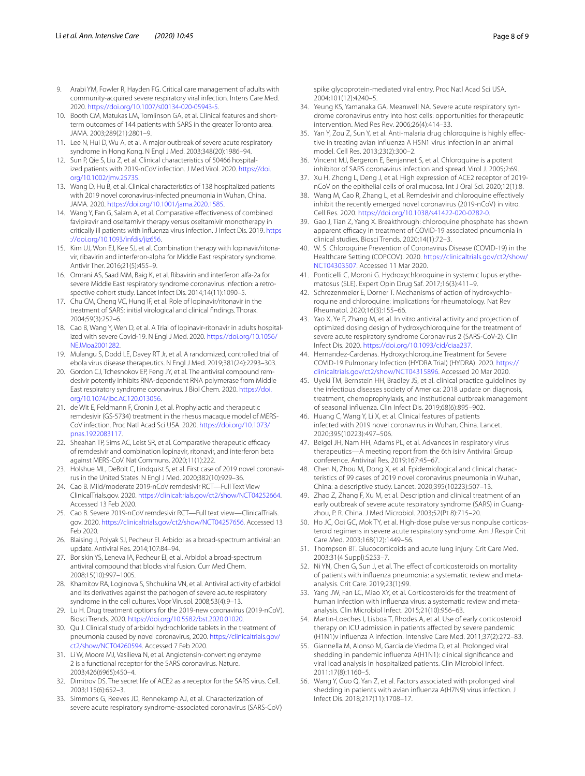- <span id="page-7-0"></span>9. Arabi YM, Fowler R, Hayden FG. Critical care management of adults with community-acquired severe respiratory viral infection. Intens Care Med. 2020. [https://doi.org/10.1007/s00134-020-05943-5.](https://doi.org/10.1007/s00134-020-05943-5)
- <span id="page-7-1"></span>10. Booth CM, Matukas LM, Tomlinson GA, et al. Clinical features and shortterm outcomes of 144 patients with SARS in the greater Toronto area. JAMA. 2003;289(21):2801–9.
- <span id="page-7-2"></span>11. Lee N, Hui D, Wu A, et al. A major outbreak of severe acute respiratory syndrome in Hong Kong. N Engl J Med. 2003;348(20):1986–94.
- <span id="page-7-3"></span>12. Sun P, Qie S, Liu Z, et al. Clinical characteristics of 50466 hospitalized patients with 2019-nCoV infection. J Med Virol. 2020. [https://doi.](https://doi.org/10.1002/jmv.25735) [org/10.1002/jmv.25735.](https://doi.org/10.1002/jmv.25735)
- <span id="page-7-4"></span>13. Wang D, Hu B, et al. Clinical characteristics of 138 hospitalized patients with 2019 novel coronavirus-infected pneumonia in Wuhan, China. JAMA. 2020. [https://doi.org/10.1001/jama.2020.1585.](https://doi.org/10.1001/jama.2020.1585)
- <span id="page-7-5"></span>14. Wang Y, Fan G, Salam A, et al. Comparative effectiveness of combined favipiravir and oseltamivir therapy versus oseltamivir monotherapy in critically ill patients with infuenza virus infection. J Infect Dis. 2019. [https](https://doi.org/10.1093/infdis/jiz656) [://doi.org/10.1093/infdis/jiz656.](https://doi.org/10.1093/infdis/jiz656)
- <span id="page-7-6"></span>15. Kim UJ, Won EJ, Kee SJ, et al. Combination therapy with lopinavir/ritonavir, ribavirin and interferon-alpha for Middle East respiratory syndrome. Antivir Ther. 2016;21(5):455–9.
- <span id="page-7-7"></span>16. Omrani AS, Saad MM, Baig K, et al. Ribavirin and interferon alfa-2a for severe Middle East respiratory syndrome coronavirus infection: a retrospective cohort study. Lancet Infect Dis. 2014;14(11):1090–5.
- <span id="page-7-8"></span>17. Chu CM, Cheng VC, Hung IF, et al. Role of lopinavir/ritonavir in the treatment of SARS: initial virological and clinical fndings. Thorax. 2004;59(3):252–6.
- <span id="page-7-9"></span>18. Cao B, Wang Y, Wen D, et al. A Trial of lopinavir-ritonavir in adults hospitalized with severe Covid-19. N Engl J Med. 2020. [https://doi.org/10.1056/](https://doi.org/10.1056/NEJMoa2001282) NE IMoa2001282
- <span id="page-7-10"></span>19. Mulangu S, Dodd LE, Davey RT Jr, et al. A randomized, controlled trial of ebola virus disease therapeutics. N Engl J Med. 2019;381(24):2293–303.
- <span id="page-7-11"></span>20. Gordon CJ, Tchesnokov EP, Feng JY, et al. The antiviral compound remdesivir potently inhibits RNA-dependent RNA polymerase from Middle East respiratory syndrome coronavirus. J Biol Chem. 2020. [https://doi.](https://doi.org/10.1074/jbc.AC120.013056) [org/10.1074/jbc.AC120.013056.](https://doi.org/10.1074/jbc.AC120.013056)
- <span id="page-7-12"></span>21. de Wit E, Feldmann F, Cronin J, et al. Prophylactic and therapeutic remdesivir (GS-5734) treatment in the rhesus macaque model of MERS-CoV infection. Proc Natl Acad Sci USA. 2020. [https://doi.org/10.1073/](https://doi.org/10.1073/pnas.1922083117) [pnas.1922083117.](https://doi.org/10.1073/pnas.1922083117)
- <span id="page-7-13"></span>22. Sheahan TP, Sims AC, Leist SR, et al. Comparative therapeutic efficacy of remdesivir and combination lopinavir, ritonavir, and interferon beta against MERS-CoV. Nat Communs. 2020;11(1):222.
- <span id="page-7-14"></span>23. Holshue ML, DeBolt C, Lindquist S, et al. First case of 2019 novel coronavirus in the United States. N Engl J Med. 2020;382(10):929–36.
- <span id="page-7-15"></span>24. Cao B. Mild/moderate 2019-nCoV remdesivir RCT—Full Text View ClinicalTrials.gov. 2020. [https://clinicaltrials.gov/ct2/show/NCT04252664.](https://clinicaltrials.gov/ct2/show/NCT04252664) Accessed 13 Feb 2020.
- <span id="page-7-16"></span>25. Cao B. Severe 2019-nCoV remdesivir RCT—Full text view—ClinicalTrials. gov. 2020.<https://clinicaltrials.gov/ct2/show/NCT04257656>. Accessed 13 Feb 2020.
- <span id="page-7-17"></span>26. Blaising J, Polyak SJ, Pecheur EI. Arbidol as a broad-spectrum antiviral: an update. Antiviral Res. 2014;107:84–94.
- <span id="page-7-18"></span>27. Boriskin YS, Leneva IA, Pecheur EI, et al. Arbidol: a broad-spectrum antiviral compound that blocks viral fusion. Curr Med Chem. 2008;15(10):997–1005.
- <span id="page-7-19"></span>28. Khamitov RA, Loginova S, Shchukina VN, et al. Antiviral activity of arbidol and its derivatives against the pathogen of severe acute respiratory syndrome in the cell cultures. Vopr Virusol. 2008;53(4):9–13.
- <span id="page-7-20"></span>29. Lu H. Drug treatment options for the 2019-new coronavirus (2019-nCoV). Biosci Trends. 2020.<https://doi.org/10.5582/bst.2020.01020>.
- <span id="page-7-21"></span>30. Qu J. Clinical study of arbidol hydrochloride tablets in the treatment of pneumonia caused by novel coronavirus, 2020. [https://clinicaltrials.gov/](https://clinicaltrials.gov/ct2/show/NCT04260594) [ct2/show/NCT04260594.](https://clinicaltrials.gov/ct2/show/NCT04260594) Accessed 7 Feb 2020.
- <span id="page-7-22"></span>31. Li W, Moore MJ, Vasilieva N, et al. Angiotensin-converting enzyme 2 is a functional receptor for the SARS coronavirus. Nature. 2003;426(6965):450–4.
- 32. Dimitrov DS. The secret life of ACE2 as a receptor for the SARS virus. Cell. 2003;115(6):652–3.
- <span id="page-7-23"></span>33. Simmons G, Reeves JD, Rennekamp AJ, et al. Characterization of severe acute respiratory syndrome-associated coronavirus (SARS-CoV)

spike glycoprotein-mediated viral entry. Proc Natl Acad Sci USA. 2004;101(12):4240–5.

- <span id="page-7-24"></span>34. Yeung KS, Yamanaka GA, Meanwell NA. Severe acute respiratory syndrome coronavirus entry into host cells: opportunities for therapeutic intervention. Med Res Rev. 2006;26(4):414–33.
- <span id="page-7-25"></span>35. Yan Y, Zou Z, Sun Y, et al. Anti-malaria drug chloroquine is highly efective in treating avian infuenza A H5N1 virus infection in an animal model. Cell Res. 2013;23(2):300–2.
- <span id="page-7-26"></span>36. Vincent MJ, Bergeron E, Benjannet S, et al. Chloroquine is a potent inhibitor of SARS coronavirus infection and spread. Virol J. 2005;2:69.
- <span id="page-7-27"></span>37. Xu H, Zhong L, Deng J, et al. High expression of ACE2 receptor of 2019 nCoV on the epithelial cells of oral mucosa. Int J Oral Sci. 2020;12(1):8.
- <span id="page-7-28"></span>38. Wang M, Cao R, Zhang L, et al. Remdesivir and chloroquine efectively inhibit the recently emerged novel coronavirus (2019-nCoV) in vitro. Cell Res. 2020. <https://doi.org/10.1038/s41422-020-0282-0>.
- <span id="page-7-29"></span>39. Gao J, Tian Z, Yang X. Breakthrough: chloroquine phosphate has shown apparent efficacy in treatment of COVID-19 associated pneumonia in clinical studies. Biosci Trends. 2020;14(1):72–3.
- <span id="page-7-30"></span>40. W. S. Chloroquine Prevention of Coronavirus Disease (COVID-19) in the Healthcare Setting (COPCOV). 2020. [https://clinicaltrials.gov/ct2/show/](https://clinicaltrials.gov/ct2/show/NCT04303507) [NCT04303507.](https://clinicaltrials.gov/ct2/show/NCT04303507) Accessed 11 Mar 2020.
- <span id="page-7-31"></span>41. Ponticelli C, Moroni G. Hydroxychloroquine in systemic lupus erythematosus (SLE). Expert Opin Drug Saf. 2017;16(3):411–9.
- <span id="page-7-32"></span>42. Schrezenmeier E, Dorner T. Mechanisms of action of hydroxychloroquine and chloroquine: implications for rheumatology. Nat Rev Rheumatol. 2020;16(3):155–66.
- <span id="page-7-33"></span>43. Yao X, Ye F, Zhang M, et al. In vitro antiviral activity and projection of optimized dosing design of hydroxychloroquine for the treatment of severe acute respiratory syndrome Coronavirus 2 (SARS-CoV-2). Clin Infect Dis. 2020. [https://doi.org/10.1093/cid/ciaa237.](https://doi.org/10.1093/cid/ciaa237)
- <span id="page-7-34"></span>44. Hernandez-Cardenas. Hydroxychloroquine Treatment for Severe COVID-19 Pulmonary Infection (HYDRA Trial) (HYDRA). 2020. [https://](https://clinicaltrials.gov/ct2/show/NCT04315896) [clinicaltrials.gov/ct2/show/NCT04315896](https://clinicaltrials.gov/ct2/show/NCT04315896). Accessed 20 Mar 2020.
- <span id="page-7-35"></span>45. Uyeki TM, Bernstein HH, Bradley JS, et al. clinical practice guidelines by the infectious diseases society of America: 2018 update on diagnosis, treatment, chemoprophylaxis, and institutional outbreak management of seasonal infuenza. Clin Infect Dis. 2019;68(6):895–902.
- <span id="page-7-36"></span>46. Huang C, Wang Y, Li X, et al. Clinical features of patients infected with 2019 novel coronavirus in Wuhan, China. Lancet. 2020;395(10223):497–506.
- <span id="page-7-37"></span>47. Beigel JH, Nam HH, Adams PL, et al. Advances in respiratory virus therapeutics—A meeting report from the 6th isirv Antiviral Group conference. Antiviral Res. 2019;167:45–67.
- <span id="page-7-38"></span>48. Chen N, Zhou M, Dong X, et al. Epidemiological and clinical characteristics of 99 cases of 2019 novel coronavirus pneumonia in Wuhan, China: a descriptive study. Lancet. 2020;395(10223):507–13.
- <span id="page-7-39"></span>49. Zhao Z, Zhang F, Xu M, et al. Description and clinical treatment of an early outbreak of severe acute respiratory syndrome (SARS) in Guangzhou, P. R. China. J Med Microbiol. 2003;52(Pt 8):715–20.
- <span id="page-7-40"></span>50. Ho JC, Ooi GC, Mok TY, et al. High-dose pulse versus nonpulse corticosteroid regimens in severe acute respiratory syndrome. Am J Respir Crit Care Med. 2003;168(12):1449–56.
- <span id="page-7-41"></span>51. Thompson BT. Glucocorticoids and acute lung injury. Crit Care Med. 2003;31(4 Suppl):S253–7.
- 52. Ni YN, Chen G, Sun J, et al. The efect of corticosteroids on mortality of patients with infuenza pneumonia: a systematic review and metaanalysis. Crit Care. 2019;23(1):99.
- 53. Yang JW, Fan LC, Miao XY, et al. Corticosteroids for the treatment of human infection with infuenza virus: a systematic review and metaanalysis. Clin Microbiol Infect. 2015;21(10):956–63.
- <span id="page-7-42"></span>54. Martin-Loeches I, Lisboa T, Rhodes A, et al. Use of early corticosteroid therapy on ICU admission in patients afected by severe pandemic (H1N1)v infuenza A infection. Intensive Care Med. 2011;37(2):272–83.
- <span id="page-7-43"></span>55. Giannella M, Alonso M, Garcia de Viedma D, et al. Prolonged viral shedding in pandemic infuenza A(H1N1): clinical signifcance and viral load analysis in hospitalized patients. Clin Microbiol Infect. 2011;17(8):1160–5.
- 56. Wang Y, Guo Q, Yan Z, et al. Factors associated with prolonged viral shedding in patients with avian infuenza A(H7N9) virus infection. J Infect Dis. 2018;217(11):1708–17.